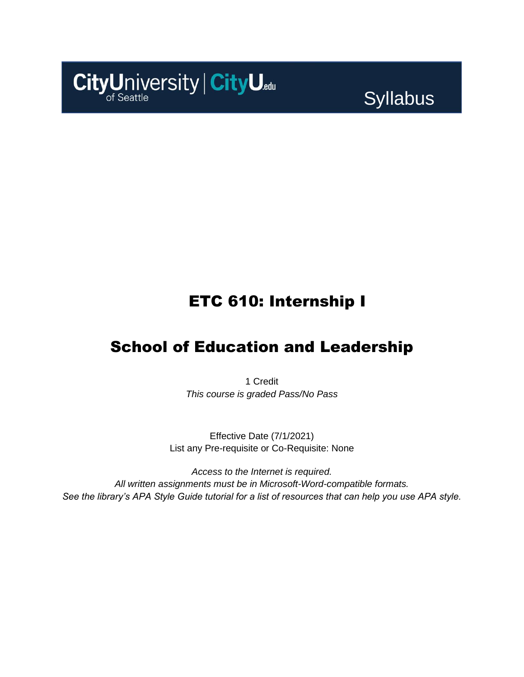

**Syllabus** 

## ETC 610: Internship I

### School of Education and Leadership

1 Credit *This course is graded Pass/No Pass*

Effective Date (7/1/2021) List any Pre-requisite or Co-Requisite: None

*Access to the Internet is required. All written assignments must be in Microsoft-Word-compatible formats. See the library's APA Style Guide tutorial for a list of resources that can help you use APA style.*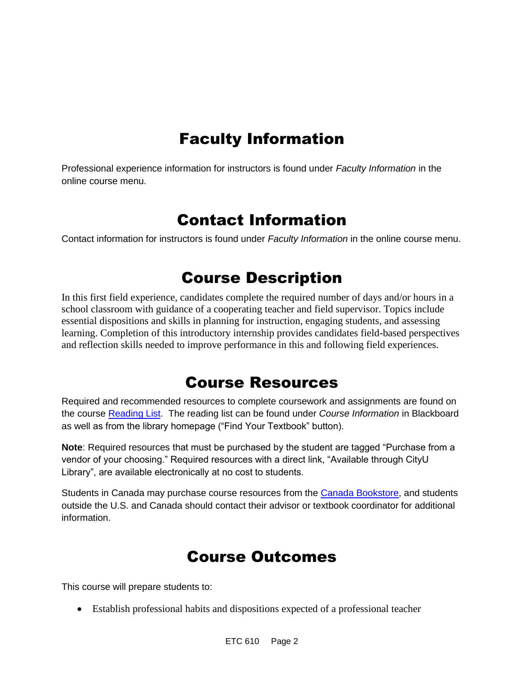# Faculty Information

Professional experience information for instructors is found under *Faculty Information* in the online course menu.

### Contact Information

Contact information for instructors is found under *Faculty Information* in the online course menu.

# Course Description

In this first field experience, candidates complete the required number of days and/or hours in a school classroom with guidance of a cooperating teacher and field supervisor. Topics include essential dispositions and skills in planning for instruction, engaging students, and assessing learning. Completion of this introductory internship provides candidates field-based perspectives and reflection skills needed to improve performance in this and following field experiences.

### Course Resources

Required and recommended resources to complete coursework and assignments are found on the course [Reading List.](https://cityu.alma.exlibrisgroup.com/leganto/login?auth=SAML) The reading list can be found under *Course Information* in Blackboard as well as from the library homepage ("Find Your Textbook" button).

**Note**: Required resources that must be purchased by the student are tagged "Purchase from a vendor of your choosing." Required resources with a direct link, "Available through CityU Library", are available electronically at no cost to students.

Students in Canada may purchase course resources from the [Canada Bookstore,](https://www.cityubookstore.ca/index.asp) and students outside the U.S. and Canada should contact their advisor or textbook coordinator for additional information.

### Course Outcomes

This course will prepare students to:

• Establish professional habits and dispositions expected of a professional teacher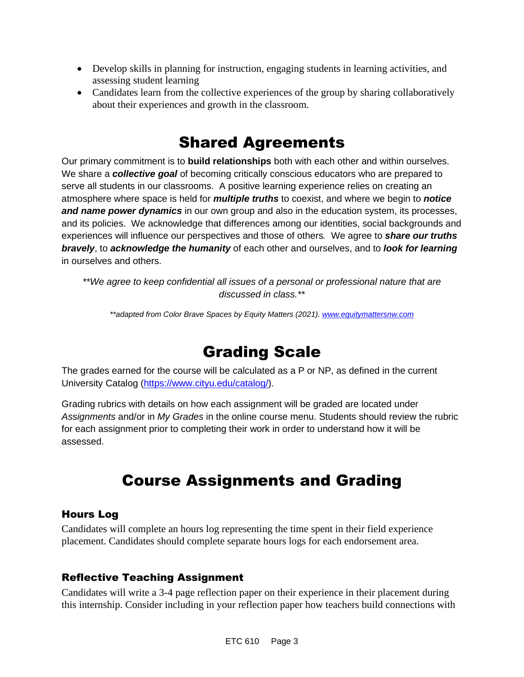- Develop skills in planning for instruction, engaging students in learning activities, and assessing student learning
- Candidates learn from the collective experiences of the group by sharing collaboratively about their experiences and growth in the classroom.

### Shared Agreements

Our primary commitment is to **build relationships** both with each other and within ourselves. We share a *collective goal* of becoming critically conscious educators who are prepared to serve all students in our classrooms. A positive learning experience relies on creating an atmosphere where space is held for *multiple truths* to coexist, and where we begin to *notice and name power dynamics* in our own group and also in the education system, its processes, and its policies. We acknowledge that differences among our identities, social backgrounds and experiences will influence our perspectives and those of others*.* We agree to *share our truths bravely*, to *acknowledge the humanity* of each other and ourselves, and to *look for learning* in ourselves and others.

*\*\*We agree to keep confidential all issues of a personal or professional nature that are discussed in class.\*\**

*\*\*adapted from Color Brave Spaces by Equity Matters (2021)[. www.equitymattersnw.com](http://www.equitymattersnw.com/)*

### Grading Scale

The grades earned for the course will be calculated as a P or NP, as defined in the current University Catalog [\(https://www.cityu.edu/catalog/\)](https://www.cityu.edu/catalog/).

Grading rubrics with details on how each assignment will be graded are located under *Assignments* and/or in *My Grades* in the online course menu. Students should review the rubric for each assignment prior to completing their work in order to understand how it will be assessed.

## Course Assignments and Grading

#### Hours Log

Candidates will complete an hours log representing the time spent in their field experience placement. Candidates should complete separate hours logs for each endorsement area.

### Reflective Teaching Assignment

Candidates will write a 3-4 page reflection paper on their experience in their placement during this internship. Consider including in your reflection paper how teachers build connections with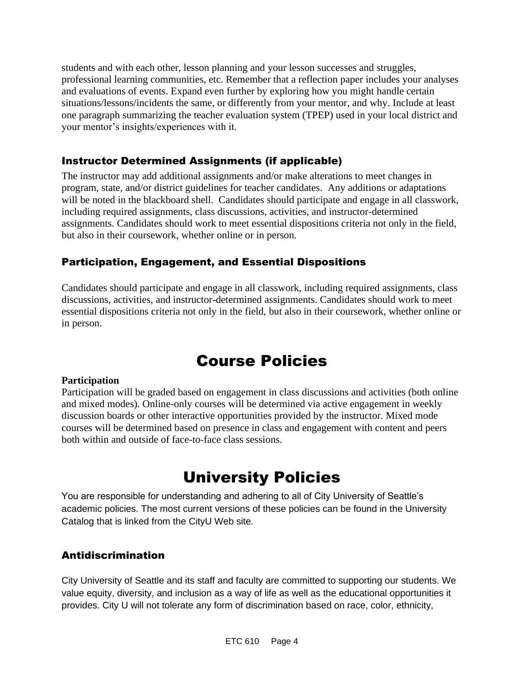students and with each other, lesson planning and your lesson successes and struggles, professional learning communities, etc. Remember that a reflection paper includes your analyses and evaluations of events. Expand even further by exploring how you might handle certain situations/lessons/incidents the same, or differently from your mentor, and why. Include at least one paragraph summarizing the teacher evaluation system (TPEP) used in your local district and your mentor's insights/experiences with it.

#### Instructor Determined Assignments (if applicable)

The instructor may add additional assignments and/or make alterations to meet changes in program, state, and/or district guidelines for teacher candidates. Any additions or adaptations will be noted in the blackboard shell. Candidates should participate and engage in all classwork, including required assignments, class discussions, activities, and instructor-determined assignments. Candidates should work to meet essential dispositions criteria not only in the field, but also in their coursework, whether online or in person.

### Participation, Engagement, and Essential Dispositions

Candidates should participate and engage in all classwork, including required assignments, class discussions, activities, and instructor-determined assignments. Candidates should work to meet essential dispositions criteria not only in the field, but also in their coursework, whether online or in person.

### Course Policies

#### **Participation**

Participation will be graded based on engagement in class discussions and activities (both online and mixed modes). Online-only courses will be determined via active engagement in weekly discussion boards or other interactive opportunities provided by the instructor. Mixed mode courses will be determined based on presence in class and engagement with content and peers both within and outside of face-to-face class sessions.

## University Policies

You are responsible for understanding and adhering to all of City University of Seattle's academic policies. The most current versions of these policies can be found in the University Catalog that is linked from the CityU Web site.

#### Antidiscrimination

City University of Seattle and its staff and faculty are committed to supporting our students. We value equity, diversity, and inclusion as a way of life as well as the educational opportunities it provides. City U will not tolerate any form of discrimination based on race, color, ethnicity,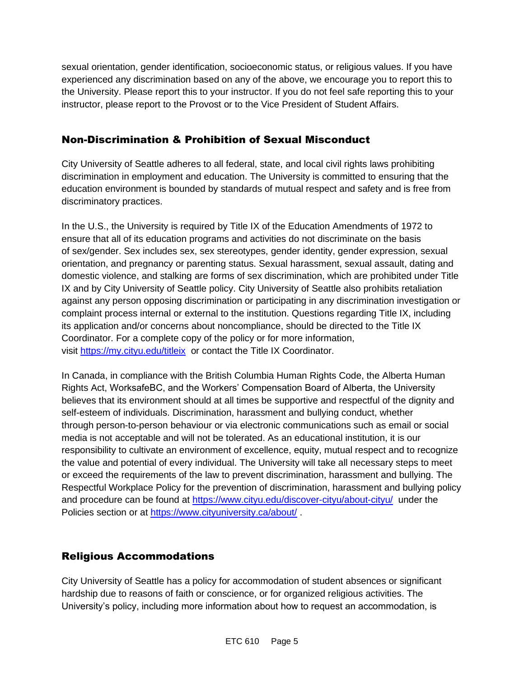sexual orientation, gender identification, socioeconomic status, or religious values. If you have experienced any discrimination based on any of the above, we encourage you to report this to the University. Please report this to your instructor. If you do not feel safe reporting this to your instructor, please report to the Provost or to the Vice President of Student Affairs.

#### Non-Discrimination & Prohibition of Sexual Misconduct

City University of Seattle adheres to all federal, state, and local civil rights laws prohibiting discrimination in employment and education. The University is committed to ensuring that the education environment is bounded by standards of mutual respect and safety and is free from discriminatory practices.

In the U.S., the University is required by Title IX of the Education Amendments of 1972 to ensure that all of its education programs and activities do not discriminate on the basis of sex/gender. Sex includes sex, sex stereotypes, gender identity, gender expression, sexual orientation, and pregnancy or parenting status. Sexual harassment, sexual assault, dating and domestic violence, and stalking are forms of sex discrimination, which are prohibited under Title IX and by City University of Seattle policy. City University of Seattle also prohibits retaliation against any person opposing discrimination or participating in any discrimination investigation or complaint process internal or external to the institution. Questions regarding Title IX, including its application and/or concerns about noncompliance, should be directed to the Title IX Coordinator. For a complete copy of the policy or for more information, visit [https://my.cityu.edu/titleix](https://nam11.safelinks.protection.outlook.com/?url=https%3A%2F%2Fmy.cityu.edu%2Ftitleix&data=04%7C01%7Claker%40cityu.edu%7Cbc558c70c10340dbaa2408d9172365a0%7Cb3fa96d9f5154662add763d854e39e63%7C1%7C0%7C637566263054321964%7CUnknown%7CTWFpbGZsb3d8eyJWIjoiMC4wLjAwMDAiLCJQIjoiV2luMzIiLCJBTiI6Ik1haWwiLCJXVCI6Mn0%3D%7C1000&sdata=GX0hgfxN2OMKFTKjD04gqvwwyU44mfnCmEdCtsEzab0%3D&reserved=0) or contact the Title IX Coordinator.

In Canada, in compliance with the British Columbia Human Rights Code, the Alberta Human Rights Act, WorksafeBC, and the Workers' Compensation Board of Alberta, the University believes that its environment should at all times be supportive and respectful of the dignity and self-esteem of individuals. Discrimination, harassment and bullying conduct, whether through person-to-person behaviour or via electronic communications such as email or social media is not acceptable and will not be tolerated. As an educational institution, it is our responsibility to cultivate an environment of excellence, equity, mutual respect and to recognize the value and potential of every individual. The University will take all necessary steps to meet or exceed the requirements of the law to prevent discrimination, harassment and bullying. The Respectful Workplace Policy for the prevention of discrimination, harassment and bullying policy and procedure can be found at [https://www.cityu.edu/discover-cityu/about-cityu/](https://nam11.safelinks.protection.outlook.com/?url=https%3A%2F%2Fwww.cityu.edu%2Fdiscover-cityu%2Fabout-cityu%2F&data=04%7C01%7Claker%40cityu.edu%7Cbc558c70c10340dbaa2408d9172365a0%7Cb3fa96d9f5154662add763d854e39e63%7C1%7C0%7C637566263054331957%7CUnknown%7CTWFpbGZsb3d8eyJWIjoiMC4wLjAwMDAiLCJQIjoiV2luMzIiLCJBTiI6Ik1haWwiLCJXVCI6Mn0%3D%7C1000&sdata=7Q6QoqwuNLfeOJPewViWSeIwRIBy%2BoqDOiP8xSHYm78%3D&reserved=0) under the Policies section or at [https://www.cityuniversity.ca/about/](https://nam11.safelinks.protection.outlook.com/?url=https%3A%2F%2Fwww.cityuniversity.ca%2Fabout%2F&data=04%7C01%7Claker%40cityu.edu%7Cbc558c70c10340dbaa2408d9172365a0%7Cb3fa96d9f5154662add763d854e39e63%7C1%7C0%7C637566263054331957%7CUnknown%7CTWFpbGZsb3d8eyJWIjoiMC4wLjAwMDAiLCJQIjoiV2luMzIiLCJBTiI6Ik1haWwiLCJXVCI6Mn0%3D%7C1000&sdata=TX6bXEiU0CC6hC1mrTnKpuJywbR06qAj7RMu8QC4RUA%3D&reserved=0) .

### Religious Accommodations

City University of Seattle has a policy for accommodation of student absences or significant hardship due to reasons of faith or conscience, or for organized religious activities. The University's policy, including more information about how to request an accommodation, is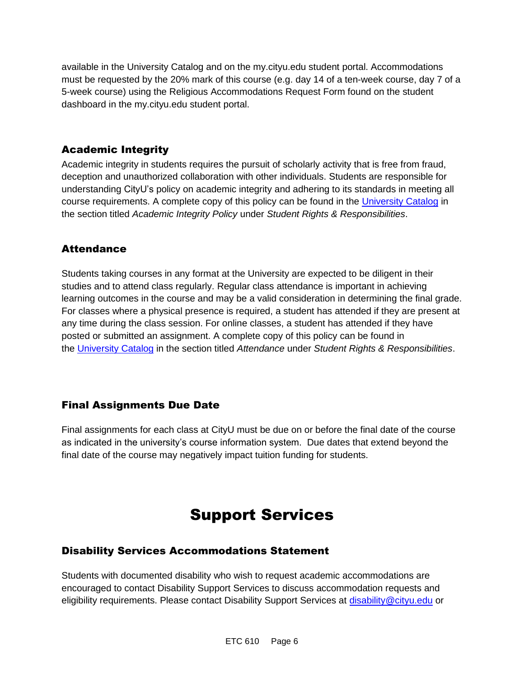available in the University Catalog and on the my.cityu.edu student portal. Accommodations must be requested by the 20% mark of this course (e.g. day 14 of a ten-week course, day 7 of a 5-week course) using the Religious Accommodations Request Form found on the student dashboard in the my.cityu.edu student portal.

### Academic Integrity

Academic integrity in students requires the pursuit of scholarly activity that is free from fraud, deception and unauthorized collaboration with other individuals. Students are responsible for understanding CityU's policy on academic integrity and adhering to its standards in meeting all course requirements. A complete copy of this policy can be found in the [University Catalog](https://nam11.safelinks.protection.outlook.com/?url=http%3A%2F%2Fwww.cityu.edu%2Fcatalog%2F&data=04%7C01%7Claker%40cityu.edu%7Cbc558c70c10340dbaa2408d9172365a0%7Cb3fa96d9f5154662add763d854e39e63%7C1%7C0%7C637566263054341952%7CUnknown%7CTWFpbGZsb3d8eyJWIjoiMC4wLjAwMDAiLCJQIjoiV2luMzIiLCJBTiI6Ik1haWwiLCJXVCI6Mn0%3D%7C1000&sdata=aL6fsSyLtVzJgdrlE9PtZXb%2F3H6wCdrvPcw4zOoEYTI%3D&reserved=0) in the section titled *Academic Integrity Policy* under *Student Rights & Responsibilities*.

#### **Attendance**

Students taking courses in any format at the University are expected to be diligent in their studies and to attend class regularly. Regular class attendance is important in achieving learning outcomes in the course and may be a valid consideration in determining the final grade. For classes where a physical presence is required, a student has attended if they are present at any time during the class session. For online classes, a student has attended if they have posted or submitted an assignment. A complete copy of this policy can be found in the [University Catalog](https://nam11.safelinks.protection.outlook.com/?url=http%3A%2F%2Fwww.cityu.edu%2Fcatalog%2F&data=04%7C01%7Claker%40cityu.edu%7Cbc558c70c10340dbaa2408d9172365a0%7Cb3fa96d9f5154662add763d854e39e63%7C1%7C0%7C637566263054341952%7CUnknown%7CTWFpbGZsb3d8eyJWIjoiMC4wLjAwMDAiLCJQIjoiV2luMzIiLCJBTiI6Ik1haWwiLCJXVCI6Mn0%3D%7C1000&sdata=aL6fsSyLtVzJgdrlE9PtZXb%2F3H6wCdrvPcw4zOoEYTI%3D&reserved=0) in the section titled *Attendance* under *Student Rights & Responsibilities*.

#### Final Assignments Due Date

Final assignments for each class at CityU must be due on or before the final date of the course as indicated in the university's course information system. Due dates that extend beyond the final date of the course may negatively impact tuition funding for students.

## Support Services

#### Disability Services Accommodations Statement

Students with documented disability who wish to request academic accommodations are encouraged to contact Disability Support Services to discuss accommodation requests and eligibility requirements. Please contact Disability Support Services at [disability@cityu.edu](mailto:disability@cityu.edu) or